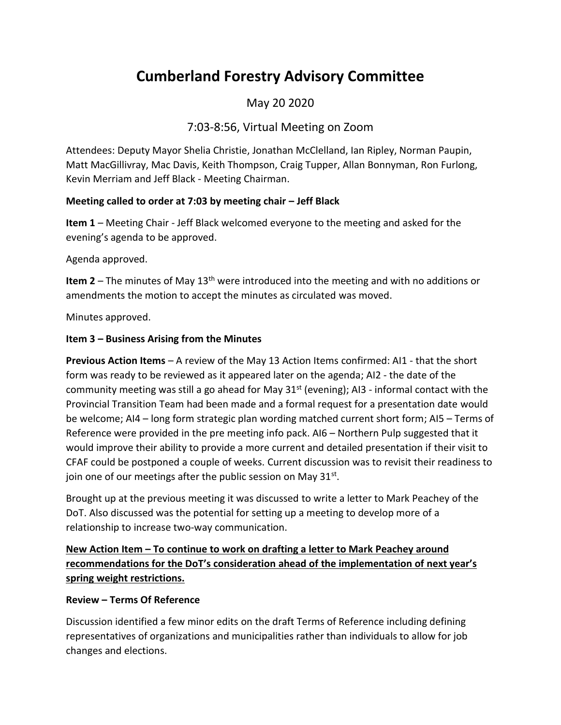# **Cumberland Forestry Advisory Committee**

## May 20 2020

## 7:03-8:56, Virtual Meeting on Zoom

Attendees: Deputy Mayor Shelia Christie, Jonathan McClelland, Ian Ripley, Norman Paupin, Matt MacGillivray, Mac Davis, Keith Thompson, Craig Tupper, Allan Bonnyman, Ron Furlong, Kevin Merriam and Jeff Black - Meeting Chairman.

#### **Meeting called to order at 7:03 by meeting chair – Jeff Black**

**Item 1** – Meeting Chair - Jeff Black welcomed everyone to the meeting and asked for the evening's agenda to be approved.

Agenda approved.

**Item 2** – The minutes of May 13<sup>th</sup> were introduced into the meeting and with no additions or amendments the motion to accept the minutes as circulated was moved.

Minutes approved.

#### **Item 3 – Business Arising from the Minutes**

**Previous Action Items** – A review of the May 13 Action Items confirmed: AI1 - that the short form was ready to be reviewed as it appeared later on the agenda; AI2 - the date of the community meeting was still a go ahead for May  $31<sup>st</sup>$  (evening); AI3 - informal contact with the Provincial Transition Team had been made and a formal request for a presentation date would be welcome; AI4 – long form strategic plan wording matched current short form; AI5 – Terms of Reference were provided in the pre meeting info pack. AI6 – Northern Pulp suggested that it would improve their ability to provide a more current and detailed presentation if their visit to CFAF could be postponed a couple of weeks. Current discussion was to revisit their readiness to join one of our meetings after the public session on May 31st.

Brought up at the previous meeting it was discussed to write a letter to Mark Peachey of the DoT. Also discussed was the potential for setting up a meeting to develop more of a relationship to increase two-way communication.

## **New Action Item – To continue to work on drafting a letter to Mark Peachey around recommendations for the DoT's consideration ahead of the implementation of next year's spring weight restrictions.**

#### **Review – Terms Of Reference**

Discussion identified a few minor edits on the draft Terms of Reference including defining representatives of organizations and municipalities rather than individuals to allow for job changes and elections.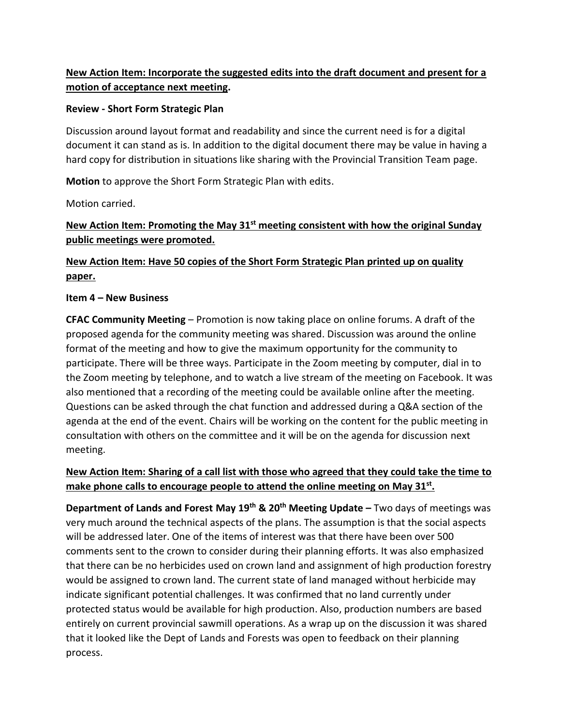## **New Action Item: Incorporate the suggested edits into the draft document and present for a motion of acceptance next meeting.**

#### **Review - Short Form Strategic Plan**

Discussion around layout format and readability and since the current need is for a digital document it can stand as is. In addition to the digital document there may be value in having a hard copy for distribution in situations like sharing with the Provincial Transition Team page.

**Motion** to approve the Short Form Strategic Plan with edits.

Motion carried.

## **New Action Item: Promoting the May 31st meeting consistent with how the original Sunday public meetings were promoted.**

## **New Action Item: Have 50 copies of the Short Form Strategic Plan printed up on quality paper.**

#### **Item 4 – New Business**

**CFAC Community Meeting** – Promotion is now taking place on online forums. A draft of the proposed agenda for the community meeting was shared. Discussion was around the online format of the meeting and how to give the maximum opportunity for the community to participate. There will be three ways. Participate in the Zoom meeting by computer, dial in to the Zoom meeting by telephone, and to watch a live stream of the meeting on Facebook. It was also mentioned that a recording of the meeting could be available online after the meeting. Questions can be asked through the chat function and addressed during a Q&A section of the agenda at the end of the event. Chairs will be working on the content for the public meeting in consultation with others on the committee and it will be on the agenda for discussion next meeting.

## **New Action Item: Sharing of a call list with those who agreed that they could take the time to make phone calls to encourage people to attend the online meeting on May 31st .**

**Department of Lands and Forest May 19th & 20th Meeting Update –** Two days of meetings was very much around the technical aspects of the plans. The assumption is that the social aspects will be addressed later. One of the items of interest was that there have been over 500 comments sent to the crown to consider during their planning efforts. It was also emphasized that there can be no herbicides used on crown land and assignment of high production forestry would be assigned to crown land. The current state of land managed without herbicide may indicate significant potential challenges. It was confirmed that no land currently under protected status would be available for high production. Also, production numbers are based entirely on current provincial sawmill operations. As a wrap up on the discussion it was shared that it looked like the Dept of Lands and Forests was open to feedback on their planning process.